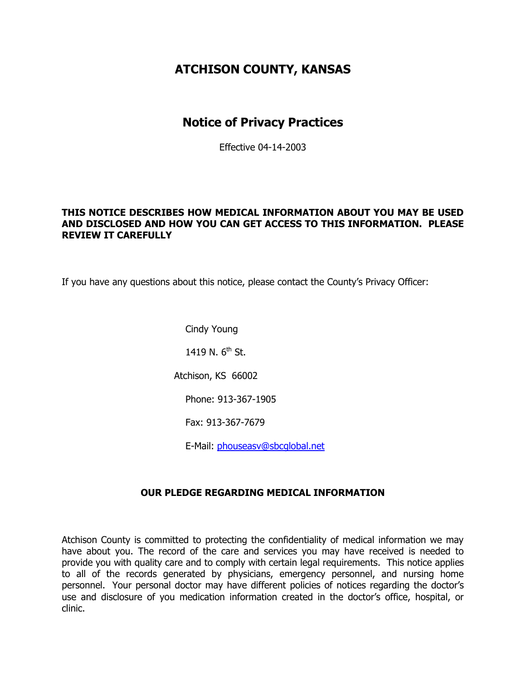## **ATCHISON COUNTY, KANSAS**

### **Notice of Privacy Practices**

Effective 04-14-2003

#### **THIS NOTICE DESCRIBES HOW MEDICAL INFORMATION ABOUT YOU MAY BE USED AND DISCLOSED AND HOW YOU CAN GET ACCESS TO THIS INFORMATION. PLEASE REVIEW IT CAREFULLY**

If you have any questions about this notice, please contact the County's Privacy Officer:

Cindy Young 1419 N.  $6^{th}$  St. Atchison, KS 66002 Phone: 913-367-1905 Fax: 913-367-7679

E-Mail: [phouseasv@sbcglobal.net](mailto:phouseasv@sbcglobal.net)

#### **OUR PLEDGE REGARDING MEDICAL INFORMATION**

Atchison County is committed to protecting the confidentiality of medical information we may have about you. The record of the care and services you may have received is needed to provide you with quality care and to comply with certain legal requirements. This notice applies to all of the records generated by physicians, emergency personnel, and nursing home personnel. Your personal doctor may have different policies of notices regarding the doctor's use and disclosure of you medication information created in the doctor's office, hospital, or clinic.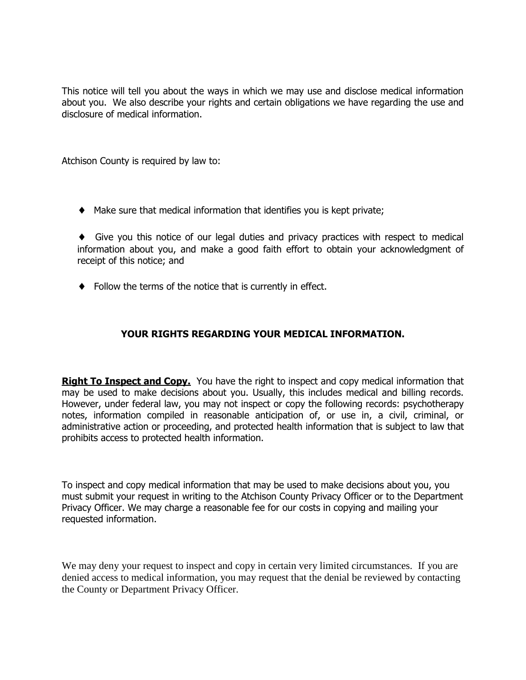This notice will tell you about the ways in which we may use and disclose medical information about you. We also describe your rights and certain obligations we have regarding the use and disclosure of medical information.

Atchison County is required by law to:

 $\blacklozenge$  Make sure that medical information that identifies you is kept private;

 Give you this notice of our legal duties and privacy practices with respect to medical information about you, and make a good faith effort to obtain your acknowledgment of receipt of this notice; and

Follow the terms of the notice that is currently in effect.

#### **YOUR RIGHTS REGARDING YOUR MEDICAL INFORMATION.**

**Right To Inspect and Copy.** You have the right to inspect and copy medical information that may be used to make decisions about you. Usually, this includes medical and billing records. However, under federal law, you may not inspect or copy the following records: psychotherapy notes, information compiled in reasonable anticipation of, or use in, a civil, criminal, or administrative action or proceeding, and protected health information that is subject to law that prohibits access to protected health information.

To inspect and copy medical information that may be used to make decisions about you, you must submit your request in writing to the Atchison County Privacy Officer or to the Department Privacy Officer. We may charge a reasonable fee for our costs in copying and mailing your requested information.

We may deny your request to inspect and copy in certain very limited circumstances. If you are denied access to medical information, you may request that the denial be reviewed by contacting the County or Department Privacy Officer.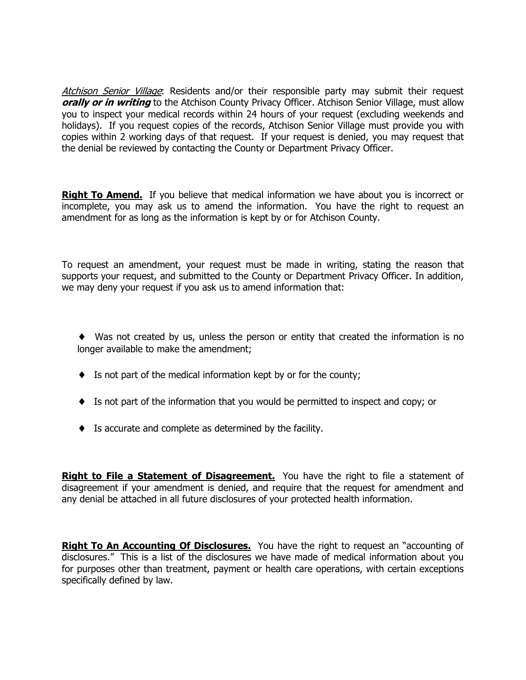Atchison Senior Village: Residents and/or their responsible party may submit their request **orally or in writing** to the Atchison County Privacy Officer. Atchison Senior Village, must allow you to inspect your medical records within 24 hours of your request (excluding weekends and holidays). If you request copies of the records, Atchison Senior Village must provide you with copies within 2 working days of that request. If your request is denied, you may request that the denial be reviewed by contacting the County or Department Privacy Officer.

**Right To Amend.** If you believe that medical information we have about you is incorrect or incomplete, you may ask us to amend the information. You have the right to request an amendment for as long as the information is kept by or for Atchison County.

To request an amendment, your request must be made in writing, stating the reason that supports your request, and submitted to the County or Department Privacy Officer. In addition, we may deny your request if you ask us to amend information that:

 Was not created by us, unless the person or entity that created the information is no longer available to make the amendment;

- $\bullet$  Is not part of the medical information kept by or for the county;
- Is not part of the information that you would be permitted to inspect and copy; or
- Is accurate and complete as determined by the facility.

**Right to File a Statement of Disagreement.** You have the right to file a statement of disagreement if your amendment is denied, and require that the request for amendment and any denial be attached in all future disclosures of your protected health information.

**Right To An Accounting Of Disclosures.** You have the right to request an "accounting of disclosures." This is a list of the disclosures we have made of medical information about you for purposes other than treatment, payment or health care operations, with certain exceptions specifically defined by law.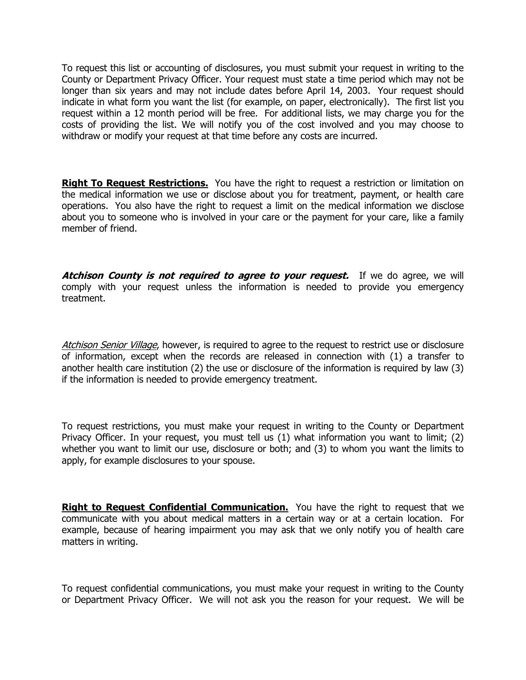To request this list or accounting of disclosures, you must submit your request in writing to the County or Department Privacy Officer. Your request must state a time period which may not be longer than six years and may not include dates before April 14, 2003. Your request should indicate in what form you want the list (for example, on paper, electronically). The first list you request within a 12 month period will be free. For additional lists, we may charge you for the costs of providing the list. We will notify you of the cost involved and you may choose to withdraw or modify your request at that time before any costs are incurred.

**Right To Request Restrictions.** You have the right to request a restriction or limitation on the medical information we use or disclose about you for treatment, payment, or health care operations. You also have the right to request a limit on the medical information we disclose about you to someone who is involved in your care or the payment for your care, like a family member of friend.

**Atchison County is not required to agree to your request.** If we do agree, we will comply with your request unless the information is needed to provide you emergency treatment.

Atchison Senior Village, however, is required to agree to the request to restrict use or disclosure of information, except when the records are released in connection with (1) a transfer to another health care institution (2) the use or disclosure of the information is required by law (3) if the information is needed to provide emergency treatment.

To request restrictions, you must make your request in writing to the County or Department Privacy Officer. In your request, you must tell us (1) what information you want to limit; (2) whether you want to limit our use, disclosure or both; and (3) to whom you want the limits to apply, for example disclosures to your spouse.

**Right to Request Confidential Communication.** You have the right to request that we communicate with you about medical matters in a certain way or at a certain location. For example, because of hearing impairment you may ask that we only notify you of health care matters in writing.

To request confidential communications, you must make your request in writing to the County or Department Privacy Officer. We will not ask you the reason for your request. We will be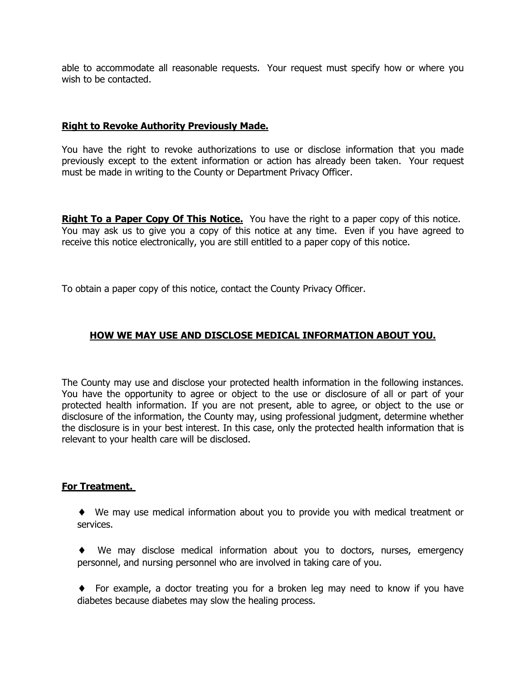able to accommodate all reasonable requests. Your request must specify how or where you wish to be contacted.

#### **Right to Revoke Authority Previously Made.**

You have the right to revoke authorizations to use or disclose information that you made previously except to the extent information or action has already been taken. Your request must be made in writing to the County or Department Privacy Officer.

**Right To a Paper Copy Of This Notice.** You have the right to a paper copy of this notice. You may ask us to give you a copy of this notice at any time. Even if you have agreed to receive this notice electronically, you are still entitled to a paper copy of this notice.

To obtain a paper copy of this notice, contact the County Privacy Officer.

#### **HOW WE MAY USE AND DISCLOSE MEDICAL INFORMATION ABOUT YOU.**

The County may use and disclose your protected health information in the following instances. You have the opportunity to agree or object to the use or disclosure of all or part of your protected health information. If you are not present, able to agree, or object to the use or disclosure of the information, the County may, using professional judgment, determine whether the disclosure is in your best interest. In this case, only the protected health information that is relevant to your health care will be disclosed.

#### **For Treatment.**

- We may use medical information about you to provide you with medical treatment or services.
- We may disclose medical information about you to doctors, nurses, emergency personnel, and nursing personnel who are involved in taking care of you.
- For example, a doctor treating you for a broken leg may need to know if you have diabetes because diabetes may slow the healing process.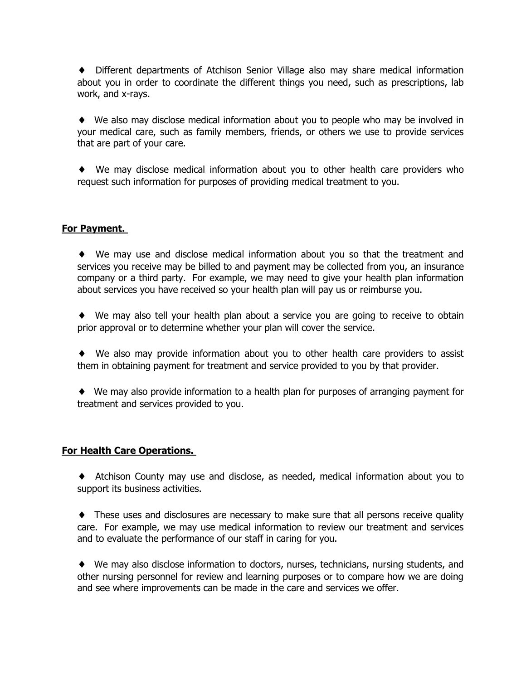Different departments of Atchison Senior Village also may share medical information about you in order to coordinate the different things you need, such as prescriptions, lab work, and x-rays.

 We also may disclose medical information about you to people who may be involved in your medical care, such as family members, friends, or others we use to provide services that are part of your care.

 We may disclose medical information about you to other health care providers who request such information for purposes of providing medical treatment to you.

#### **For Payment.**

 We may use and disclose medical information about you so that the treatment and services you receive may be billed to and payment may be collected from you, an insurance company or a third party. For example, we may need to give your health plan information about services you have received so your health plan will pay us or reimburse you.

 We may also tell your health plan about a service you are going to receive to obtain prior approval or to determine whether your plan will cover the service.

 We also may provide information about you to other health care providers to assist them in obtaining payment for treatment and service provided to you by that provider.

 We may also provide information to a health plan for purposes of arranging payment for treatment and services provided to you.

#### **For Health Care Operations.**

 Atchison County may use and disclose, as needed, medical information about you to support its business activities.

 These uses and disclosures are necessary to make sure that all persons receive quality care. For example, we may use medical information to review our treatment and services and to evaluate the performance of our staff in caring for you.

 We may also disclose information to doctors, nurses, technicians, nursing students, and other nursing personnel for review and learning purposes or to compare how we are doing and see where improvements can be made in the care and services we offer.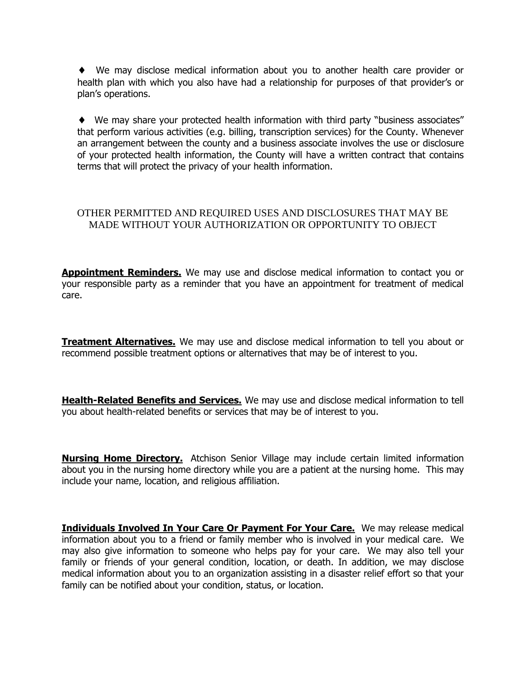We may disclose medical information about you to another health care provider or health plan with which you also have had a relationship for purposes of that provider's or plan's operations.

 We may share your protected health information with third party "business associates" that perform various activities (e.g. billing, transcription services) for the County. Whenever an arrangement between the county and a business associate involves the use or disclosure of your protected health information, the County will have a written contract that contains terms that will protect the privacy of your health information.

#### OTHER PERMITTED AND REQUIRED USES AND DISCLOSURES THAT MAY BE MADE WITHOUT YOUR AUTHORIZATION OR OPPORTUNITY TO OBJECT

**Appointment Reminders.** We may use and disclose medical information to contact you or your responsible party as a reminder that you have an appointment for treatment of medical care.

**Treatment Alternatives.** We may use and disclose medical information to tell you about or recommend possible treatment options or alternatives that may be of interest to you.

**Health-Related Benefits and Services.** We may use and disclose medical information to tell you about health-related benefits or services that may be of interest to you.

**Nursing Home Directory.** Atchison Senior Village may include certain limited information about you in the nursing home directory while you are a patient at the nursing home. This may include your name, location, and religious affiliation.

**Individuals Involved In Your Care Or Payment For Your Care.** We may release medical information about you to a friend or family member who is involved in your medical care. We may also give information to someone who helps pay for your care. We may also tell your family or friends of your general condition, location, or death. In addition, we may disclose medical information about you to an organization assisting in a disaster relief effort so that your family can be notified about your condition, status, or location.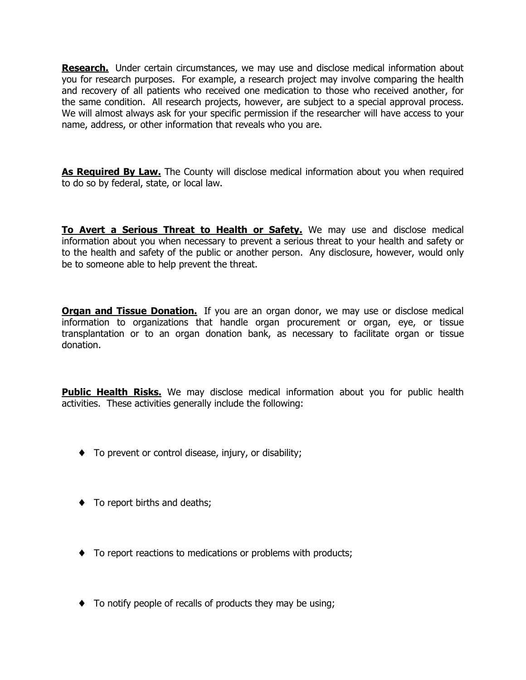**Research.** Under certain circumstances, we may use and disclose medical information about you for research purposes. For example, a research project may involve comparing the health and recovery of all patients who received one medication to those who received another, for the same condition. All research projects, however, are subject to a special approval process. We will almost always ask for your specific permission if the researcher will have access to your name, address, or other information that reveals who you are.

**As Required By Law.** The County will disclose medical information about you when required to do so by federal, state, or local law.

**To Avert a Serious Threat to Health or Safety.** We may use and disclose medical information about you when necessary to prevent a serious threat to your health and safety or to the health and safety of the public or another person. Any disclosure, however, would only be to someone able to help prevent the threat.

**Organ and Tissue Donation.** If you are an organ donor, we may use or disclose medical information to organizations that handle organ procurement or organ, eye, or tissue transplantation or to an organ donation bank, as necessary to facilitate organ or tissue donation.

**Public Health Risks.** We may disclose medical information about you for public health activities. These activities generally include the following:

- $\bullet$  To prevent or control disease, injury, or disability;
- $\bullet$  To report births and deaths;
- $\bullet$  To report reactions to medications or problems with products;
- $\bullet$  To notify people of recalls of products they may be using;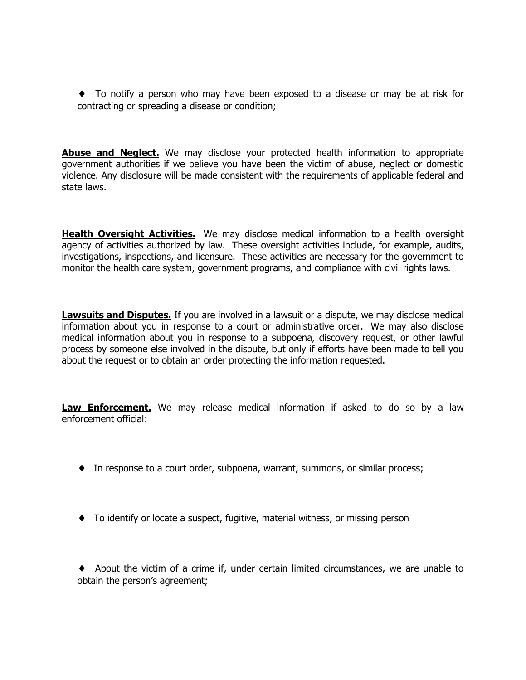To notify a person who may have been exposed to a disease or may be at risk for contracting or spreading a disease or condition;

**Abuse and Neglect.** We may disclose your protected health information to appropriate government authorities if we believe you have been the victim of abuse, neglect or domestic violence. Any disclosure will be made consistent with the requirements of applicable federal and state laws.

**Health Oversight Activities.** We may disclose medical information to a health oversight agency of activities authorized by law. These oversight activities include, for example, audits, investigations, inspections, and licensure. These activities are necessary for the government to monitor the health care system, government programs, and compliance with civil rights laws.

**Lawsuits and Disputes.** If you are involved in a lawsuit or a dispute, we may disclose medical information about you in response to a court or administrative order. We may also disclose medical information about you in response to a subpoena, discovery request, or other lawful process by someone else involved in the dispute, but only if efforts have been made to tell you about the request or to obtain an order protecting the information requested.

**Law Enforcement.** We may release medical information if asked to do so by a law enforcement official:

- In response to a court order, subpoena, warrant, summons, or similar process;
- To identify or locate a suspect, fugitive, material witness, or missing person

 About the victim of a crime if, under certain limited circumstances, we are unable to obtain the person's agreement;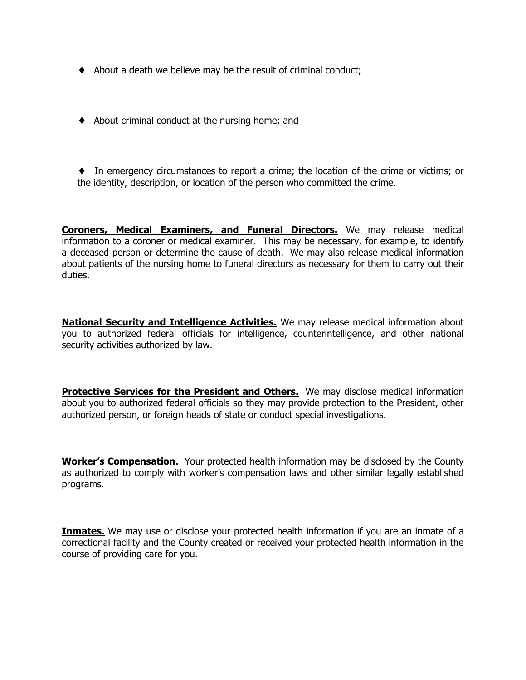- About a death we believe may be the result of criminal conduct;
- $\blacklozenge$  About criminal conduct at the nursing home; and
- In emergency circumstances to report a crime; the location of the crime or victims; or the identity, description, or location of the person who committed the crime.

**Coroners, Medical Examiners, and Funeral Directors.** We may release medical information to a coroner or medical examiner. This may be necessary, for example, to identify a deceased person or determine the cause of death. We may also release medical information about patients of the nursing home to funeral directors as necessary for them to carry out their duties.

**National Security and Intelligence Activities.** We may release medical information about you to authorized federal officials for intelligence, counterintelligence, and other national security activities authorized by law.

**Protective Services for the President and Others.** We may disclose medical information about you to authorized federal officials so they may provide protection to the President, other authorized person, or foreign heads of state or conduct special investigations.

**Worker's Compensation.** Your protected health information may be disclosed by the County as authorized to comply with worker's compensation laws and other similar legally established programs.

**Inmates.** We may use or disclose your protected health information if you are an inmate of a correctional facility and the County created or received your protected health information in the course of providing care for you.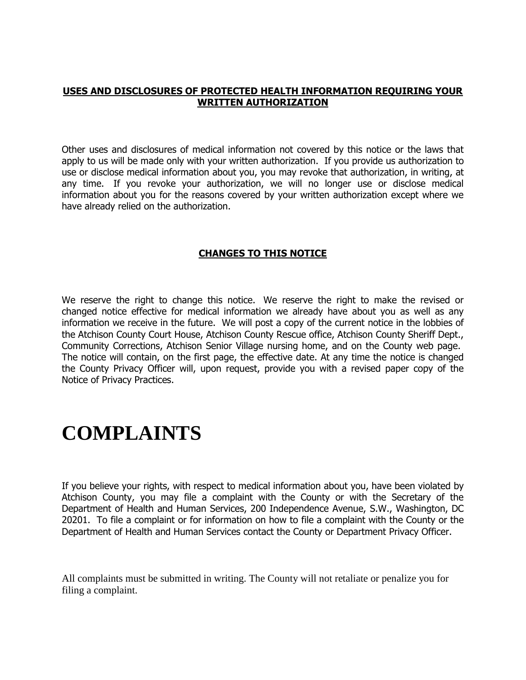#### **USES AND DISCLOSURES OF PROTECTED HEALTH INFORMATION REQUIRING YOUR WRITTEN AUTHORIZATION**

Other uses and disclosures of medical information not covered by this notice or the laws that apply to us will be made only with your written authorization. If you provide us authorization to use or disclose medical information about you, you may revoke that authorization, in writing, at any time. If you revoke your authorization, we will no longer use or disclose medical information about you for the reasons covered by your written authorization except where we have already relied on the authorization.

#### **CHANGES TO THIS NOTICE**

We reserve the right to change this notice. We reserve the right to make the revised or changed notice effective for medical information we already have about you as well as any information we receive in the future. We will post a copy of the current notice in the lobbies of the Atchison County Court House, Atchison County Rescue office, Atchison County Sheriff Dept., Community Corrections, Atchison Senior Village nursing home, and on the County web page. The notice will contain, on the first page, the effective date. At any time the notice is changed the County Privacy Officer will, upon request, provide you with a revised paper copy of the Notice of Privacy Practices.

# **COMPLAINTS**

If you believe your rights, with respect to medical information about you, have been violated by Atchison County, you may file a complaint with the County or with the Secretary of the Department of Health and Human Services, 200 Independence Avenue, S.W., Washington, DC 20201. To file a complaint or for information on how to file a complaint with the County or the Department of Health and Human Services contact the County or Department Privacy Officer.

All complaints must be submitted in writing. The County will not retaliate or penalize you for filing a complaint.